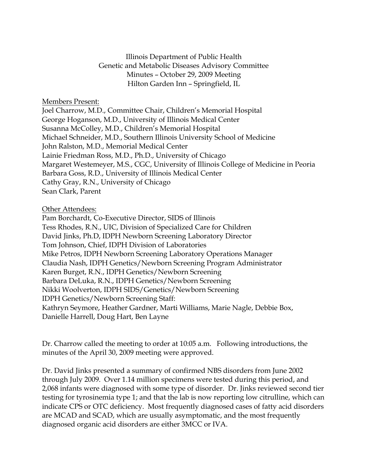Illinois Department of Public Health Genetic and Metabolic Diseases Advisory Committee Minutes – October 29, 2009 Meeting Hilton Garden Inn – Springfield, IL

Members Present:

Joel Charrow, M.D., Committee Chair, Children's Memorial Hospital George Hoganson, M.D., University of Illinois Medical Center Susanna McColley, M.D., Children's Memorial Hospital Michael Schneider, M.D., Southern Illinois University School of Medicine John Ralston, M.D., Memorial Medical Center Lainie Friedman Ross, M.D., Ph.D., University of Chicago Margaret Westemeyer, M.S., CGC, University of Illinois College of Medicine in Peoria Barbara Goss, R.D., University of Illinois Medical Center Cathy Gray, R.N., University of Chicago Sean Clark, Parent

## Other Attendees:

Pam Borchardt, Co-Executive Director, SIDS of Illinois Tess Rhodes, R.N., UIC, Division of Specialized Care for Children David Jinks, Ph.D, IDPH Newborn Screening Laboratory Director Tom Johnson, Chief, IDPH Division of Laboratories Mike Petros, IDPH Newborn Screening Laboratory Operations Manager Claudia Nash, IDPH Genetics/Newborn Screening Program Administrator Karen Burget, R.N., IDPH Genetics/Newborn Screening Barbara DeLuka, R.N., IDPH Genetics/Newborn Screening Nikki Woolverton, IDPH SIDS/Genetics/Newborn Screening IDPH Genetics/Newborn Screening Staff: Kathryn Seymore, Heather Gardner, Marti Williams, Marie Nagle, Debbie Box, Danielle Harrell, Doug Hart, Ben Layne

Dr. Charrow called the meeting to order at 10:05 a.m. Following introductions, the minutes of the April 30, 2009 meeting were approved.

Dr. David Jinks presented a summary of confirmed NBS disorders from June 2002 through July 2009. Over 1.14 million specimens were tested during this period, and 2,068 infants were diagnosed with some type of disorder. Dr. Jinks reviewed second tier testing for tyrosinemia type 1; and that the lab is now reporting low citrulline, which can indicate CPS or OTC deficiency. Most frequently diagnosed cases of fatty acid disorders are MCAD and SCAD, which are usually asymptomatic, and the most frequently diagnosed organic acid disorders are either 3MCC or IVA.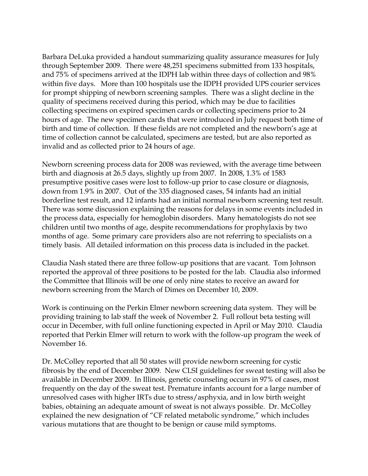Barbara DeLuka provided a handout summarizing quality assurance measures for July through September 2009. There were 48,251 specimens submitted from 133 hospitals, and 75% of specimens arrived at the IDPH lab within three days of collection and 98% within five days. More than 100 hospitals use the IDPH provided UPS courier services for prompt shipping of newborn screening samples. There was a slight decline in the quality of specimens received during this period, which may be due to facilities collecting specimens on expired specimen cards or collecting specimens prior to 24 hours of age. The new specimen cards that were introduced in July request both time of birth and time of collection. If these fields are not completed and the newborn's age at time of collection cannot be calculated, specimens are tested, but are also reported as invalid and as collected prior to 24 hours of age.

Newborn screening process data for 2008 was reviewed, with the average time between birth and diagnosis at 26.5 days, slightly up from 2007. In 2008, 1.3% of 1583 presumptive positive cases were lost to follow-up prior to case closure or diagnosis, down from 1.9% in 2007. Out of the 335 diagnosed cases, 54 infants had an initial borderline test result, and 12 infants had an initial normal newborn screening test result. There was some discussion explaining the reasons for delays in some events included in the process data, especially for hemoglobin disorders. Many hematologists do not see children until two months of age, despite recommendations for prophylaxis by two months of age. Some primary care providers also are not referring to specialists on a timely basis. All detailed information on this process data is included in the packet.

Claudia Nash stated there are three follow-up positions that are vacant. Tom Johnson reported the approval of three positions to be posted for the lab. Claudia also informed the Committee that Illinois will be one of only nine states to receive an award for newborn screening from the March of Dimes on December 10, 2009.

Work is continuing on the Perkin Elmer newborn screening data system. They will be providing training to lab staff the week of November 2. Full rollout beta testing will occur in December, with full online functioning expected in April or May 2010. Claudia reported that Perkin Elmer will return to work with the follow-up program the week of November 16.

Dr. McColley reported that all 50 states will provide newborn screening for cystic fibrosis by the end of December 2009. New CLSI guidelines for sweat testing will also be available in December 2009. In Illinois, genetic counseling occurs in 97% of cases, most frequently on the day of the sweat test. Premature infants account for a large number of unresolved cases with higher IRTs due to stress/asphyxia, and in low birth weight babies, obtaining an adequate amount of sweat is not always possible. Dr. McColley explained the new designation of "CF related metabolic syndrome," which includes various mutations that are thought to be benign or cause mild symptoms.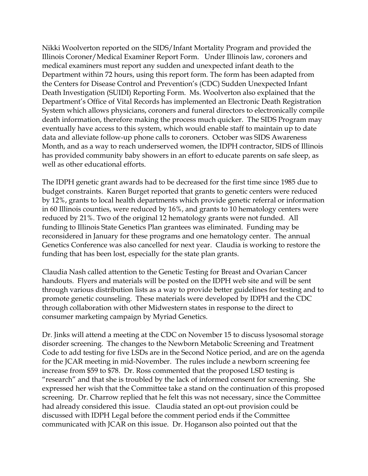Nikki Woolverton reported on the SIDS/Infant Mortality Program and provided the Illinois Coroner/Medical Examiner Report Form. Under Illinois law, coroners and medical examiners must report any sudden and unexpected infant death to the Department within 72 hours, using this report form. The form has been adapted from the Centers for Disease Control and Prevention's (CDC) Sudden Unexpected Infant Death Investigation (SUIDI) Reporting Form. Ms. Woolverton also explained that the Department's Office of Vital Records has implemented an Electronic Death Registration System which allows physicians, coroners and funeral directors to electronically compile death information, therefore making the process much quicker. The SIDS Program may eventually have access to this system, which would enable staff to maintain up to date data and alleviate follow-up phone calls to coroners. October was SIDS Awareness Month, and as a way to reach underserved women, the IDPH contractor, SIDS of Illinois has provided community baby showers in an effort to educate parents on safe sleep, as well as other educational efforts.

The IDPH genetic grant awards had to be decreased for the first time since 1985 due to budget constraints. Karen Burget reported that grants to genetic centers were reduced by 12%, grants to local health departments which provide genetic referral or information in 60 Illinois counties, were reduced by 16%, and grants to 10 hematology centers were reduced by 21%. Two of the original 12 hematology grants were not funded. All funding to Illinois State Genetics Plan grantees was eliminated. Funding may be reconsidered in January for these programs and one hematology center. The annual Genetics Conference was also cancelled for next year. Claudia is working to restore the funding that has been lost, especially for the state plan grants.

Claudia Nash called attention to the Genetic Testing for Breast and Ovarian Cancer handouts. Flyers and materials will be posted on the IDPH web site and will be sent through various distribution lists as a way to provide better guidelines for testing and to promote genetic counseling. These materials were developed by IDPH and the CDC through collaboration with other Midwestern states in response to the direct to consumer marketing campaign by Myriad Genetics.

Dr. Jinks will attend a meeting at the CDC on November 15 to discuss lysosomal storage disorder screening. The changes to the Newborn Metabolic Screening and Treatment Code to add testing for five LSDs are in the Second Notice period, and are on the agenda for the JCAR meeting in mid-November. The rules include a newborn screening fee increase from \$59 to \$78. Dr. Ross commented that the proposed LSD testing is "research" and that she is troubled by the lack of informed consent for screening. She expressed her wish that the Committee take a stand on the continuation of this proposed screening. Dr. Charrow replied that he felt this was not necessary, since the Committee had already considered this issue. Claudia stated an opt-out provision could be discussed with IDPH Legal before the comment period ends if the Committee communicated with JCAR on this issue. Dr. Hoganson also pointed out that the